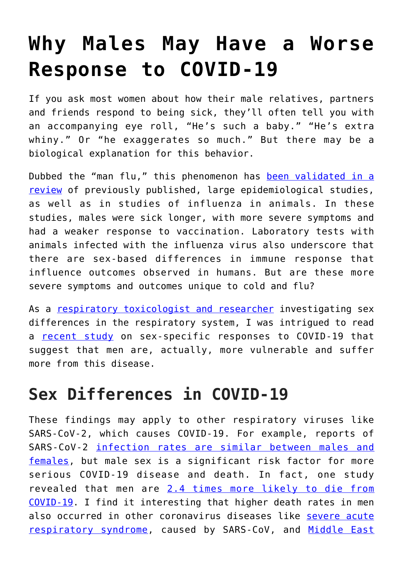# **[Why Males May Have a Worse](https://intellectualtakeout.org/2020/10/why-males-may-have-a-worse-response-to-covid-19/) [Response to COVID-19](https://intellectualtakeout.org/2020/10/why-males-may-have-a-worse-response-to-covid-19/)**

If you ask most women about how their male relatives, partners and friends respond to being sick, they'll often tell you with an accompanying eye roll, "He's such a baby." "He's extra whiny." Or "he exaggerates so much." But there may be a biological explanation for this behavior.

Dubbed the "man flu," this phenomenon has [been validated in a](https://doi.org/10.1136/bmj.j5560) [review](https://doi.org/10.1136/bmj.j5560) of previously published, large epidemiological studies, as well as in studies of influenza in animals. In these studies, males were sick longer, with more severe symptoms and had a weaker response to vaccination. Laboratory tests with animals infected with the influenza virus also underscore that there are sex-based differences in immune response that influence outcomes observed in humans. But are these more severe symptoms and outcomes unique to cold and flu?

As a [respiratory toxicologist and researcher](https://scholar.google.com/citations?user=m8jGcjAAAAAJ&hl=en) investigating sex differences in the respiratory system, I was intrigued to read a [recent study](https://doi.org/10.1038/s41586-020-2700-3) on sex-specific responses to COVID-19 that suggest that men are, actually, more vulnerable and suffer more from this disease.

### **Sex Differences in COVID-19**

These findings may apply to other respiratory viruses like SARS-CoV-2, which causes COVID-19. For example, reports of SARS-CoV-2 [infection rates are similar between males and](https://covid.cdc.gov/covid-data-tracker/?utm_source=morning_brew#demographics) [females](https://covid.cdc.gov/covid-data-tracker/?utm_source=morning_brew#demographics), but male sex is a significant risk factor for more serious COVID-19 disease and death. In fact, one study revealed that men are [2.4 times more likely to die from](https://doi.org/10.3389/fpubh.2020.00152) [COVID-19](https://doi.org/10.3389/fpubh.2020.00152). I find it interesting that higher death rates in men also occurred in other coronavirus diseases like [severe acute](https://doi.org/10.3389/fpubh.2020.00152) [respiratory syndrome,](https://doi.org/10.3389/fpubh.2020.00152) caused by SARS-CoV, and [Middle East](https://doi.org/10.4049/jimmunol.1601896)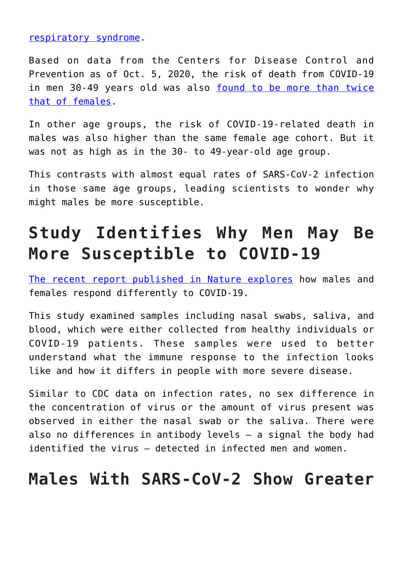#### [respiratory syndrome](https://doi.org/10.4049/jimmunol.1601896).

Based on data from the Centers for Disease Control and Prevention as of Oct. 5, 2020, the risk of death from COVID-19 in men 30-49 years old was also [found to be more than twice](https://covid.cdc.gov/covid-data-tracker/?utm_source=morning_brew#demographics) [that of females](https://covid.cdc.gov/covid-data-tracker/?utm_source=morning_brew#demographics).

In other age groups, the risk of COVID-19-related death in males was also higher than the same female age cohort. But it was not as high as in the 30- to 49-year-old age group.

This contrasts with almost equal rates of SARS-CoV-2 infection in those same age groups, leading scientists to wonder why might males be more susceptible.

### **Study Identifies Why Men May Be More Susceptible to COVID-19**

[The recent report published in Nature explores](https://doi.org/10.1038/s41586-020-2700-3) how males and females respond differently to COVID-19.

This study examined samples including nasal swabs, saliva, and blood, which were either collected from healthy individuals or COVID-19 patients. These samples were used to better understand what the immune response to the infection looks like and how it differs in people with more severe disease.

Similar to CDC data on infection rates, no sex difference in the concentration of virus or the amount of virus present was observed in either the nasal swab or the saliva. There were also no differences in antibody levels – a signal the body had identified the virus – detected in infected men and women.

### **Males With SARS-CoV-2 Show Greater**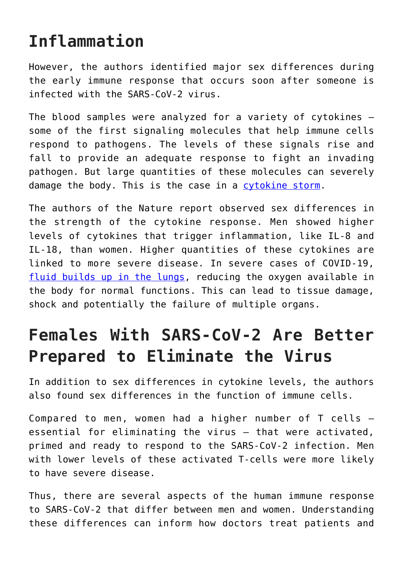### **Inflammation**

However, the authors identified major sex differences during the early immune response that occurs soon after someone is infected with the SARS-CoV-2 virus.

The blood samples were analyzed for a variety of cytokines – some of the first signaling molecules that help immune cells respond to pathogens. The levels of these signals rise and fall to provide an adequate response to fight an invading pathogen. But large quantities of these molecules can severely damage the body. This is the case in a [cytokine storm](https://theconversation.com/blocking-the-deadly-cytokine-storm-is-a-vital-weapon-for-treating-covid-19-137690).

The authors of the Nature report observed sex differences in the strength of the cytokine response. Men showed higher levels of cytokines that trigger inflammation, like IL-8 and IL-18, than women. Higher quantities of these cytokines are linked to more severe disease. In severe cases of COVID-19, [fluid builds up in the lungs](https://dx.doi.org/10.1016%2Fj.cpcardiol.2020.100618), reducing the oxygen available in the body for normal functions. This can lead to tissue damage, shock and potentially the failure of multiple organs.

### **Females With SARS-CoV-2 Are Better Prepared to Eliminate the Virus**

In addition to sex differences in cytokine levels, the authors also found sex differences in the function of immune cells.

Compared to men, women had a higher number of T cells – essential for eliminating the virus – that were activated, primed and ready to respond to the SARS-CoV-2 infection. Men with lower levels of these activated T-cells were more likely to have severe disease.

Thus, there are several aspects of the human immune response to SARS-CoV-2 that differ between men and women. Understanding these differences can inform how doctors treat patients and